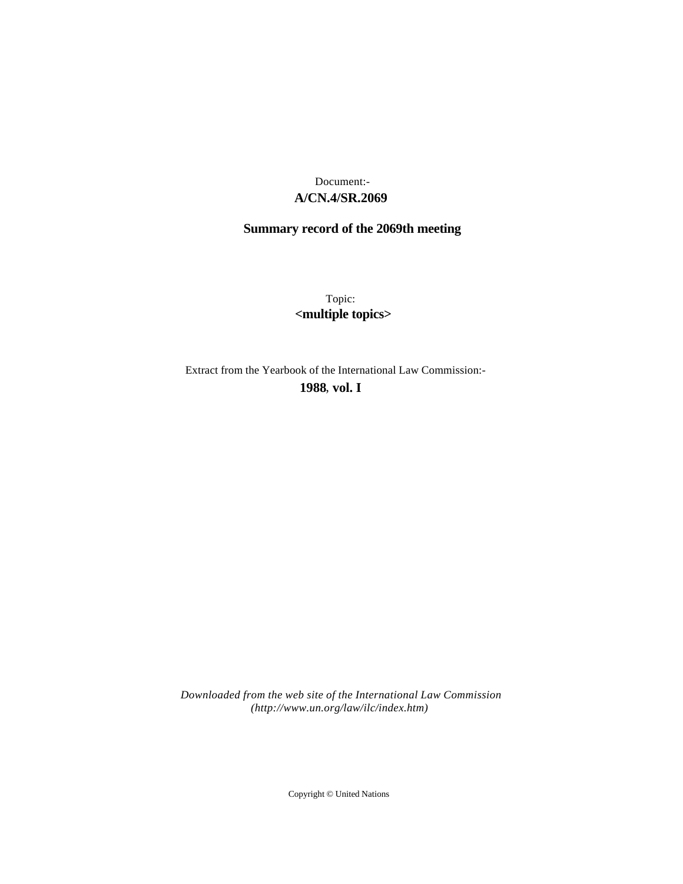# **A/CN.4/SR.2069** Document:-

# **Summary record of the 2069th meeting**

Topic: **<multiple topics>**

Extract from the Yearbook of the International Law Commission:-

**1988** , **vol. I**

*Downloaded from the web site of the International Law Commission (http://www.un.org/law/ilc/index.htm)*

Copyright © United Nations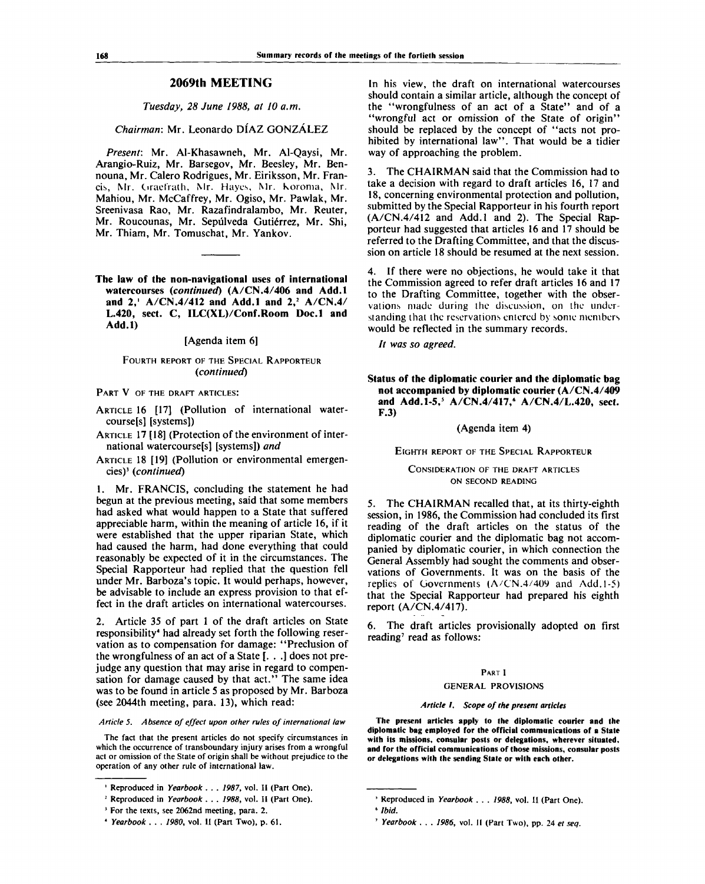# **2069th MEETING**

*Tuesday, 28 June 1988, at 10 a.m.*

### *Chairman:* Mr. Leonardo DIAZ GONZALEZ

*Present:* Mr. Al-Khasawneh, Mr. Al-Qaysi, Mr. Arangio-Ruiz, Mr. Barsegov, Mr. Beesley, Mr. Bennouna, Mr. Calero Rodrigues, Mr. Eiriksson, Mr. Francis, Mr. Ciraefrath, Mr. Hayes, Mr. Koroma, Mr. Mahiou, Mr. McCaffrey, Mr. Ogiso, Mr. Pawlak, Mr. Sreenivasa Rao, Mr. Razafindralambo, Mr. Reuter, Mr. Roucounas, Mr. Sepúlveda Gutiérrez, Mr. Shi, Mr. Thiam, Mr. Tomuschat, Mr. Yankov.

**The law of the non-navigational uses of international watercourses** *(continued)* **(A/CN.4/406 and Add.l and 2,<sup>1</sup> A/CN.4/412 and Add.l and 2,<sup>2</sup> A/CN.4/ L.420, sect. C, ILC(XL)/Conf.Room Doc.l and Add.l)**

### [Agenda item 6]

# FOURTH REPORT OF THE SPECIAL RAPPORTEUR *(continued)*

### PART V OF THE DRAFT ARTICLES:

- ARTICLE 16 [17] (Pollution of international watercourse[s] [systems])
- ARTICLE 17 [18] (Protection of the environment of international watercourse[s] [systems]) *and*
- ARTICLE 18 [19] (Pollution or environmental emergencies)<sup>3</sup>  *(continued)*

1. Mr. FRANCIS, concluding the statement he had begun at the previous meeting, said that some members had asked what would happen to a State that suffered appreciable harm, within the meaning of article 16, if it were established that the upper riparian State, which had caused the harm, had done everything that could reasonably be expected of it in the circumstances. The Special Rapporteur had replied that the question fell under Mr. Barboza's topic. It would perhaps, however, be advisable to include an express provision to that effect in the draft articles on international watercourses.

2. Article 35 of part 1 of the draft articles on State responsibility<sup>4</sup> had already set forth the following reservation as to compensation for damage: "Preclusion of the wrongfulness of an act of a State [. . .] does not prejudge any question that may arise in regard to compensation for damage caused by that act." The same idea was to be found in article 5 as proposed by Mr. Barboza (see 2044th meeting, para. 13), which read:

### *Article 5. Absence of effect upon other rules of international law*

The fact that the present articles do not specify circumstances in which the occurrence of transboundary injury arises from a wrongful act or omission of the State of origin shall be without prejudice to the operation of any other rule of international law.

<sup>3</sup> For the texts, see 2062nd meeting, para. 2.

In his view, the draft on international watercourses should contain a similar article, although the concept of the "wrongfulness of an act of a State" and of a "wrongful act or omission of the State of origin" should be replaced by the concept of "acts not prohibited by international law". That would be a tidier way of approaching the problem.

3. The CHAIRMAN said that the Commission had to take a decision with regard to draft articles 16, 17 and 18, concerning environmental protection and pollution, submitted by the Special Rapporteur in his fourth report (A/CN.4/412 and Add.l and 2). The Special Rapporteur had suggested that articles 16 and 17 should be referred to the Drafting Committee, and that the discussion on article 18 should be resumed at the next session.

4. If there were no objections, he would take it that the Commission agreed to refer draft articles 16 and 17 to the Drafting Committee, together with the observations made during the discussion, on the understanding that the reservations entered by some members would be reflected in the summary records.

// *was so agreed.*

**Status of the diplomatic courier and the diplomatic bag not accompanied by diplomatic courier (A/CN.4/409 and Add.1-5,<sup>5</sup> A/CN.4/417,<sup>6</sup> A/CN.4/L.420, sect. F.3)**

(Agenda item 4)

### EIGHTH REPORT OF THE SPECIAL RAPPORTEUR

CONSIDERATION OF THE DRAFT ARTICLES ON SECOND READING

5. The CHAIRMAN recalled that, at its thirty-eighth session, in 1986, the Commission had concluded its first reading of the draft articles on the status of the diplomatic courier and the diplomatic bag not accompanied by diplomatic courier, in which connection the General Assembly had sought the comments and observations of Governments. It was on the basis of the replies of Governments (A/CN.4/409 and Add.1-5) that the Special Rapporteur had prepared his eighth report (A/CN.4/417).

6. The draft articles provisionally adopted on first reading' read as follows:

### PART I

### GENERAL PROVISIONS

### *Article* /. *Scope of the present articles*

**The present articles apply to the diplomatic courier and the diplomatic bag employed for the official communications of a State with its missions, consular posts or delegations, wherever situated, and for the official communications of those missions, consular posts or delegations with the sending State or with each other.**

<sup>&</sup>lt;sup>1</sup> Reproduced in *Yearbook ... 1987*, vol. II (Part One).

<sup>2</sup> Reproduced in *Yearbook* . . . *1988,* vol. II (Part One).

<sup>4</sup>  *Yearbook . . . 1980,* vol. II (Part Two), p. 61.

<sup>3</sup> Reproduced in *Yearbook . . . 1988,* vol. II (Part One).

<sup>6</sup>  *Ibid.*

<sup>7</sup>  *Yearbook .* . . *1986,* vol. II (Part Two), pp. 24 *et seq.*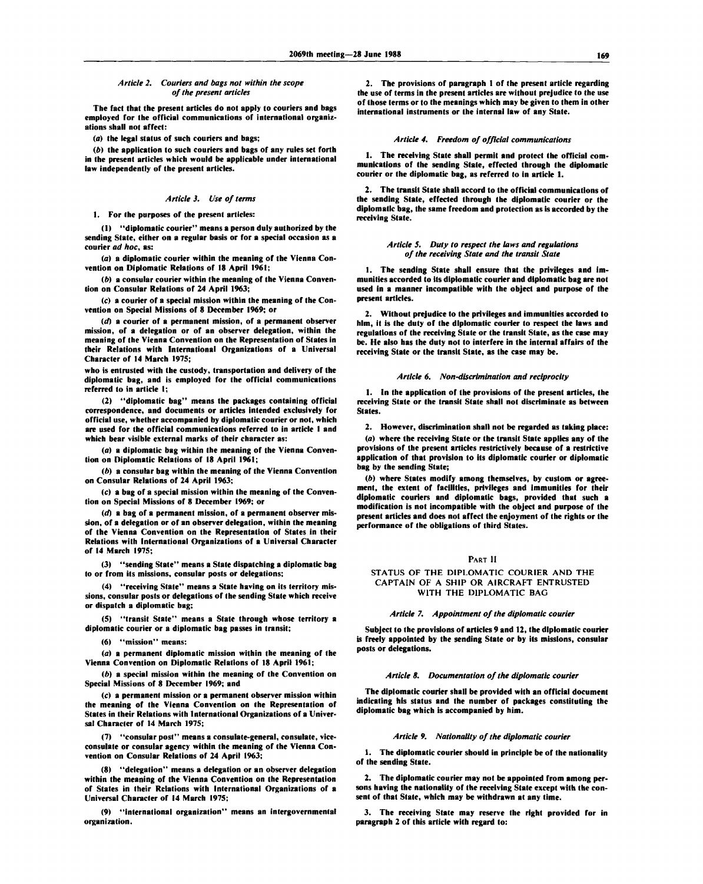### *Article 2. Couriers and bags not within the scope of the present articles*

**The fact that the present articles do not apply to couriers and bags employed for the official communications of international organizations shall not affect:**

**(a) the legal status of such couriers and bags;**

*(b)* **the application to such couriers and bags of any rules set forth in the present articles which would be applicable under international law independently of the present articles.**

### *Article 3. Use of terms*

### **1. For the purposes of the present articles:**

**(1) "diplomatic courier" means a person duly authorized by the sending State, either on a regular basis or for a special occasion as a courier** *ad hoc,* **as:**

*(a)* **a diplomatic courier within the meaning of the Vienna Convention on Diplomatic Relations of 18 April 1961;**

*(b)* **a consular courier within the meaning of the Vienna Convention on Consular Relations of 24 April 1963;**

**(c) a courier of a special mission within the meaning of the Convention on Special Missions of 8 December 1969; or**

*(d)* **a courier of a permanent mission, of a permanent observer mission, of a delegation or of an observer delegation, within the meaning of the Vienna Convention on the Representation of States in their Relations with International Organizations of a Universal Character of 14 March 1975;**

**who is entrusted with the custody, transportation and delivery of the diplomatic bag, and is employed for the official communications referred to in article 1;**

**(2) "diplomatic bag" means the packages containing official correspondence, and documents or articles intended exclusively for official use, whether accompanied by diplomatic courier or not, which are used for the official communications referred to in article 1 and which bear visible external marks of their character as:**

**(a) a diplomatic bag within the meaning of the Vienna Convention on Diplomatic Relations of 18 April 1961;**

*(b)* **a consular bag within the meaning of the Vienna Convention on Consular Relations of 24 April 1963;**

**(c) a bag of a special mission within the meaning of the Convention on Special Missions of 8 December 1969; or**

*(d)* **a bag of a permanent mission, of a permanent observer mission, of a delegation or of an observer delegation, within the meaning of the Vienna Convention on the Representation of States in their Relations with International Organizations of a Universal Character of 14 March 1975;**

**(3) "sending State" means a State dispatching a diplomatic bag to or from its missions, consular posts or delegations;**

**(4) "receiving State" means a State having on its territory missions, consular posts or delegations of the sending State which receive or dispatch a diplomatic bag;**

**(5) "transit State" means a State through whose territory a diplomatic courier or a diplomatic bag passes in transit;**

**(6) "mission" means:**

*(a)* **a permanent diplomatic mission within the meaning of the Vienna Convention on Diplomatic Relations of 18 April 1961;**

*0)* **a special mission within the meaning of the Convention on Special Missions of 8 December 1969; and**

**(c) a permanent mission or a permanent observer mission within the meaning of the Vienna Convention on the Representation of States in their Relations with International Organizations of a Universal Character of 14 March 1975;**

**(7) "consular post" means a consulate-general, consulate, viceconsulate or consular agency within the meaning of the Vienna Convention on Consular Relations of 24 April 1963;**

**(8) "delegation" means a delegation or an observer delegation within the meaning of the Vienna Convention on the Representation of States in their Relations with International Organizations of a Universal Character of 14 March 1975;**

**(9) "international organization" means an intergovernmental organization.**

**2. The provisions of paragraph 1 of the present article regarding the use of terms in the present articles are without prejudice to the use of those terms or to the meanings which may be given to them in other international instruments or the internal law of any State.**

### *Article 4. Freedom of official communications*

**1. The receiving State shall permit and protect the official communications of the sending State, effected through the diplomatic courier or the diplomatic bag, as referred to in article 1.**

**2. The transit State shall accord to the official communications of the sending State, effected through the diplomatic courier or the diplomatic bag, the same freedom and protection as is accorded by the receiving State.**

### *Article 5. Duty to respect the laws and regulations of the receiving State and the transit State*

**1. The sending State shall ensure that the privileges and immunities accorded to its diplomatic courier and diplomatic bag are not used in a manner incompatible with the object and purpose of the present articles.**

**2. Without prejudice to the privileges and immunities accorded to him, it is the duty of the diplomatic courier to respect the laws and regulations of the receiving State or the transit State, as the case may be. He also has the duty not to interfere in the internal affairs of the receiving State or the transit State, as the case may be.**

### *Article 6. Non-discrimination and reciprocity*

**1. In the application of the provisions of the present articles, the receiving State or the transit State shall not discriminate as between States.**

**2. However, discrimination shall not be regarded as taking place: (a) where the receiving State or the transit State applies any of the provisions of the present articles restrictively because of a restrictive application of that provision to its diplomatic courier or diplomatic bag by the sending State;**

*(b)* **where States modify among themselves, by custom or agreement, the extent of facilities, privileges and immunities for their diplomatic couriers and diplomatic bags, provided that such a modification is not incompatible with the object and purpose of the present articles and does not affect the enjoyment of the rights or the performance of the obligations of third States.**

### **PART II**

### **STATUS OF THE DIPLOMATIC COURIER AND THE CAPTAIN OF A SHIP OR AIRCRAFT ENTRUSTED WITH THE DIPLOMATIC BAG**

### *Article 7. Appointment of the diplomatic courier*

**Subject to the provisions of articles 9 and 12, the diplomatic courier is freely appointed by the sending State or by its missions, consular posts or delegations.**

### *Article 8. Documentation of the diplomatic courier*

**The diplomatic courier shall be provided with an official document indicating his status and the number of packages constituting the diplomatic bag which is accompanied by him.**

### *Article 9. Nationality of the diplomatic courier*

**1. The diplomatic courier should in principle be of the nationality of the sending State.**

**2. The diplomatic courier may not be appointed from among persons having the nationality of the receiving State except with the consent of that State, which may be withdrawn at any time.**

**3. The receiving State may reserve the right provided for in paragraph 2 of this article with regard to:**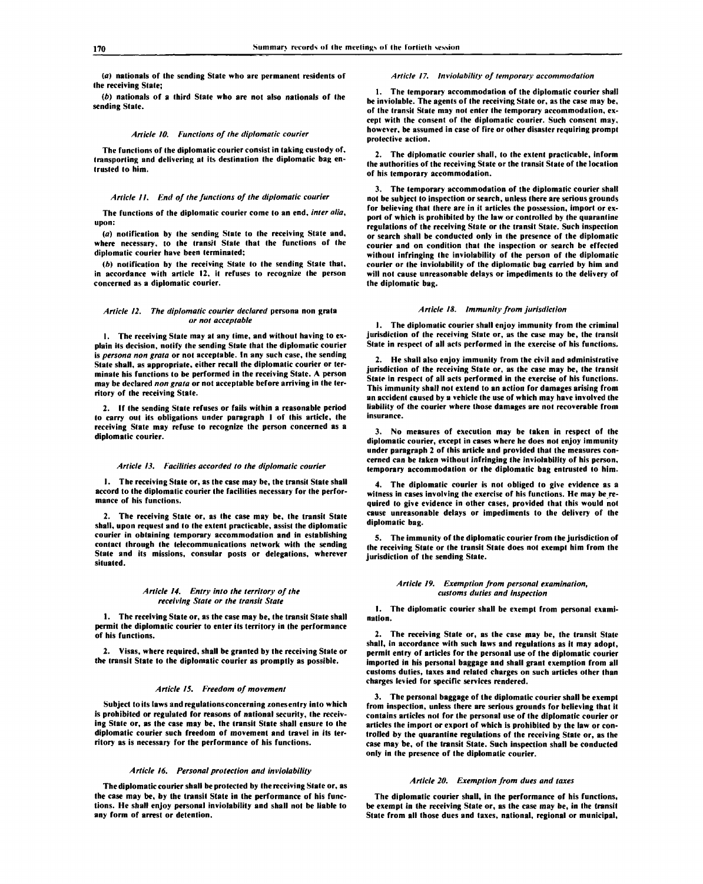**(a) nationals of the sending State who are permanent residents of the receiving State;**

*(b)* **nationals of a third State who are not also nationals of the sending State.**

### *Article 10. Functions of the diplomatic courier*

**The functions of the diplomatic courier consist in taking custody of, transporting and delivering at its destination the diplomatic bag entrusted to him.**

### *Article II. End of the functions of the diplomatic courier*

**The functions of the diplomatic courier come to an end, inter alia, upon:**

**(a) notification by the sending State to the receiving State and, where necessary, to the transit State that the functions of the diplomatic courier have been terminated;**

*(b)* **notification by the receiving State to the sending State that, in accordance with article 12, it refuses to recognize the person concerned as a diplomatic courier.**

### *Article 12. The diplomatic courier declared* **persona non grata** *or not acceptable*

**1. The receiving State may at any time, and without having to explain its decision, notify the sending State that the diplomatic courier is** *persona non grata* **or not acceptable. In any such case, the sending State shall, as appropriate, either recall the diplomatic courier or terminate his functions to be performed in the receiving State. A person may be declared** *non grata* **or not acceptable before arriving in the territory of the receiving State.**

**2. If the sending State refuses or fails within a reasonable period to carry out its obligations under paragraph 1 of this article, the receiving State may refuse to recognize the person concerned as a diplomatic courier.**

### *Article 13. Facilities accorded to the diplomatic courier*

**1. The receiving State or, as the case may be, the transit State shall accord to the diplomatic courier the facilities necessary for the performance of his functions.**

**2. The receiving State or, as the case may be, the transit State shall, upon request and to the extent practicable, assist the diplomatic courier in obtaining temporary accommodation and in establishing contact through the telecommunications network with the sending State and its missions, consular posts or delegations, wherever situated.**

### *Article 14. Entry into the territory of the receiving State or the transit State*

**1. The receiving State or, as the case may be, the transit State shall permit the diplomatic courier to enter its territory in the performance of his functions.**

**2. Visas, where required, shall be granted by the receiving State or the transit State to the diplomatic courier as promptly as possible.**

### *Article 15. Freedom of movement*

**Subject to its laws andregulationsconcerning zonesentry into which is prohibited or regulated for reasons of national security, the receiving State or, as the case may be, the transit State shall ensure to the diplomatic courier such freedom of movement and travel in its territory as is necessary for the performance of his functions.**

### *Article 16. Personal protection and inviolability*

**The diplomatic courier shall be protected by the receiving State or, as the case may be, by the transit State in the performance of his functions. He shall enjoy personal inviolability and shall not be liable to any form of arrest or detention.**

### *Article 17. Inviolability of temporary accommodation*

**1. The temporary accommodation of the diplomatic courier shall be inviolable. The agents of the receiving State or, as the case may be, of the transit State may not enter the temporary accommodation, except with the consent of the diplomatic courier. Such consent may, however, be assumed in case of fire or other disaster requiring prompt protective action.**

**2. The diplomatic courier shall, to the extent practicable, inform the authorities of the receiving State or the transit State of the location of his temporary accommodation.**

**3. The temporary accommodation of the diplomatic courier shall not be subject to inspection or search, unless there are serious grounds for believing that there are in it articles the possession, import or export of which is prohibited by the law or controlled by the quarantine regulations of the receiving State or the transit State. Such inspection or search shall be conducted only in the presence of the diplomatic courier and on condition that the inspection or search be effected without infringing the inviolability of the person of the diplomatic courier or the inviolability of the diplomatic bag carried by him and will not cause unreasonable delays or impediments to the delivery of the diplomatic bag.**

### *Article 18. Immunity from jurisdiction*

**1. The diplomatic courier shall enjoy immunity from the criminal jurisdiction of the receiving State or, as the case may be, the transit State in respect of all acts performed in the exercise of his functions.**

**2. He shall also enjoy immunity from the civil and administrative jurisdiction of the receiving State or, as the case may be, the transit State in respect of all acts performed in the exercise of his functions. This immunity shall not extend to an action for damages arising from an accident caused by a vehicle the use of which may have involved the liability of the courier where those damages are not recoverable from insurance.**

**3. No measures of execution may be taken in respect of the diplomatic courier, except in cases where he does not enjoy immunity under paragraph 2 of this article and provided that the measures concerned can be taken without infringing the inviolability of his person, temporary accommodation or the diplomatic bag entrusted to him.**

**4. The diplomatic courier is not obliged to give evidence as a witness in cases involving the exercise of his functions. He may be required to give evidence in other cases, provided that this would not cause unreasonable delays or impediments to the delivery of the diplomatic bag.**

**5. The immunity of the diplomatic courier from the jurisdiction of the receiving State or the transit State does not exempt him from the jurisdiction of the sending State.**

### *Article 19. Exemption from personal examination, customs duties and inspection*

**1. The diplomatic courier shall be exempt from personal examination.**

**2. The receiving State or, as the case may be, the transit State shall, in accordance with such laws and regulations as it may adopt, permit entry of articles for the personal use of the diplomatic courier imported in his personal baggage and shall grant exemption from all customs duties, taxes and related charges on such articles other than charges levied for specific services rendered.**

**3. The personal baggage of the diplomatic courier shall be exempt from inspection, unless there are serious grounds for believing that it contains articles not for the personal use of the diplomatic courier or articles the import or export of which is prohibited by the law or controlled by the quarantine regulations of the receiving State or, as the case may be, of the transit State. Such inspection shall be conducted only in the presence of the diplomatic courier.**

### *Article 20. Exemption from dues and taxes*

**The diplomatic courier shall, in the performance of his functions, be exempt in the receiving State or, as the case may be, in the transit State from all those dues and taxes, national, regional or municipal,**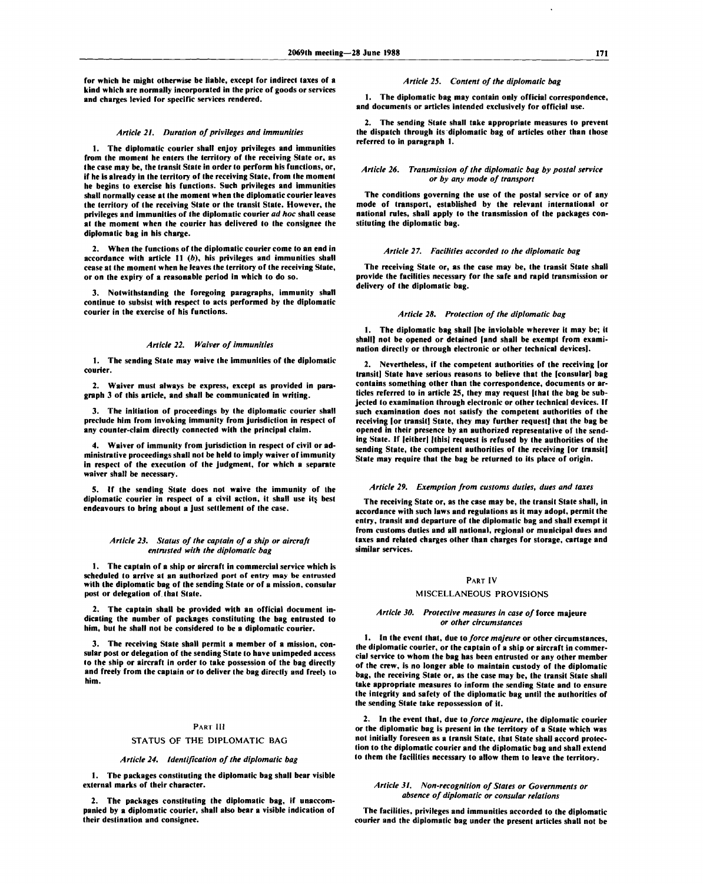**for which he might otherwise be liable, except for indirect taxes of a kind which are normally incorporated in the price of goods or services and charges levied for specific services rendered.**

### *Article 21. Duration of privileges and immunities*

**1. The diplomatic courier shall enjoy privileges and immunities from the moment he enters the territory of the receiving State or, as the case may be, the transit State in order to perform his functions, or, if he is already in the territory of the receiving State, from the moment he begins to exercise his functions. Such privileges and immunities shall normally cease at the moment when the diplomatic courier leaves the territory of the receiving State or the transit State. However, the privileges and immunities of the diplomatic courier** *ad hoc* **shall cease at the moment when the courier has delivered to the consignee the diplomatic bag in his charge.**

**2. When the functions of the diplomatic courier come to an end in accordance with article 11** *(b),* **his privileges and immunities shall cease at the moment when he leaves the territory of the receiving State, or on the expiry of a reasonable period in which to do so.**

**3. Notwithstanding the foregoing paragraphs, immunity shall continue to subsist with respect to acts performed by the diplomatic courier in the exercise of his functions.**

### *Article 22. Waiver of immunities*

**1. The sending State may waive the immunities of the diplomatic courier.**

**2. Waiver must always be express, except as provided in paragraph 3 of this article, and shall be communicated in writing.**

**3. The initiation of proceedings by the diplomatic courier shall preclude him from invoking immunity from jurisdiction in respect of any counter-claim directly connected with the principal claim.**

**4. Waiver of immunity from jurisdiction in respect of civil or administrative proceedings shall not be held to imply waiver of immunity in respect of the execution of the judgment, for which a separate waiver shall be necessary.**

**5. If the sending State does not waive the immunity of the** diplomatic courier in respect of a civil action, it shall use its best **endeavours to bring about a just settlement of the case.**

### *Article 23. Status of the captain of a ship or aircraft entrusted with the diplomatic bag*

**1. The captain of a ship or aircraft in commercial service which is scheduled to arrive at an authorized port of entry may be entrusted with the diplomatic bag of the sending State or of a mission, consular post or delegation of that State.**

**2. The captain shall be provided with an official document indicating the number of packages constituting the bag entrusted to him, but he shall not be considered to be a diplomatic courier.**

**3. The receiving State shall permit a member of a mission, consular post or delegation of the sending State to have unimpeded access to the ship or aircraft in order to take possession of the bag directly** and freely from the captain or to deliver the bag directly and freely to **him.**

### **PART III**

### **STATUS OF THE DIPLOMATIC BAG**

### *Article 24. Identification of the diplomatic bag*

**1. The packages constituting the diplomatic bag shall bear visible external marks of their character.**

**2. The packages constituting the diplomatic bag, if unaccompanied by a diplomatic courier, shall also bear a visible indication of their destination and consignee.**

### *Article 25. Content of the diplomatic bag*

**1. The diplomatic bag may contain only official correspondence, and documents or articles intended exclusively for official use.**

**2. The sending State shall take appropriate measures to prevent the dispatch through its diplomatic bag of articles other than those referred to in paragraph 1.**

### *Article 26. Transmission of the diplomatic bag by postal service or by any mode of transport*

**The conditions governing the use of the postal service or of any mode of transport, established by the relevant international or national rules, shall apply to the transmission of the packages constituting the diplomatic bag.**

### *Article 27. Facilities accorded to the diplomatic bag*

**The receiving State or, as the case may be, the transit State shall provide the facilities necessary for the safe and rapid transmission or delivery of the diplomatic bag.**

### *Article 28. Protection of the diplomatic bag*

**1. The diplomatic bag shall [be inviolable wherever it may be; it shall] not be opened or detained [and shall be exempt from examination directly or through electronic or other technical devices].**

**2. Nevertheless, if the competent authorities of the receiving [or transit] State have serious reasons to believe that the [consular] bag contains something other than the correspondence, documents or articles referred to in article 25, they may request [that the bag be subjected to examination through electronic or other technical devices. If such examination does not satisfy the competent authorities of the receiving [or transit] State, they may further request] that the bag be opened in their presence by an authorized representative of the sending State. If [eitherl |this| request is refused by the authorities of the sending State, the competent authorities of the receiving [or transit] State may require that the bag be returned to its place of origin.**

### *Article 29. Exemption from customs duties, dues and taxes*

**The receiving State or, as the case may be, the transit State shall, in accordance with such laws and regulations as it may adopt, permit the entry, transit and departure of the diplomatic bag and shall exempt it from customs duties and all national, regional or municipal dues and taxes and related charges other than charges for storage, cartage and similar services.**

### **PART IV**

### **MISCELLANEOUS PROVISIONS**

### *Article 30. Protective measures in case of* **force majeure** *or other circumstances*

**1. In the event that, due to** *force majeure* **or other circumstances, the diplomatic courier, or the captain of a ship or aircraft in commercial service to whom the bag has been entrusted or any other member of the crew, is no longer able to maintain custody of the diplomatic bag, the receiving State or, as the case may be, the transit State shall take appropriate measures to inform the sending State and to ensure the integrity and safety of the diplomatic bag until the authorities of the sending State take repossession of it.**

**2. In the event that, due to** *force majeure,* **the diplomatic courier or the diplomatic bag is present in the territory of a State which was not initially foreseen as a transit State, that State shall accord protection to the diplomatic courier and the diplomatic bag and shall extend to them the facilities necessary to allow them to leave the territory.**

### *Article 31. Non-recognition of States or Governments or absence of diplomatic or consular relations*

**The facilities, privileges and immunities accorded to the diplomatic courier and the diplomatic bag under the present articles shall not be**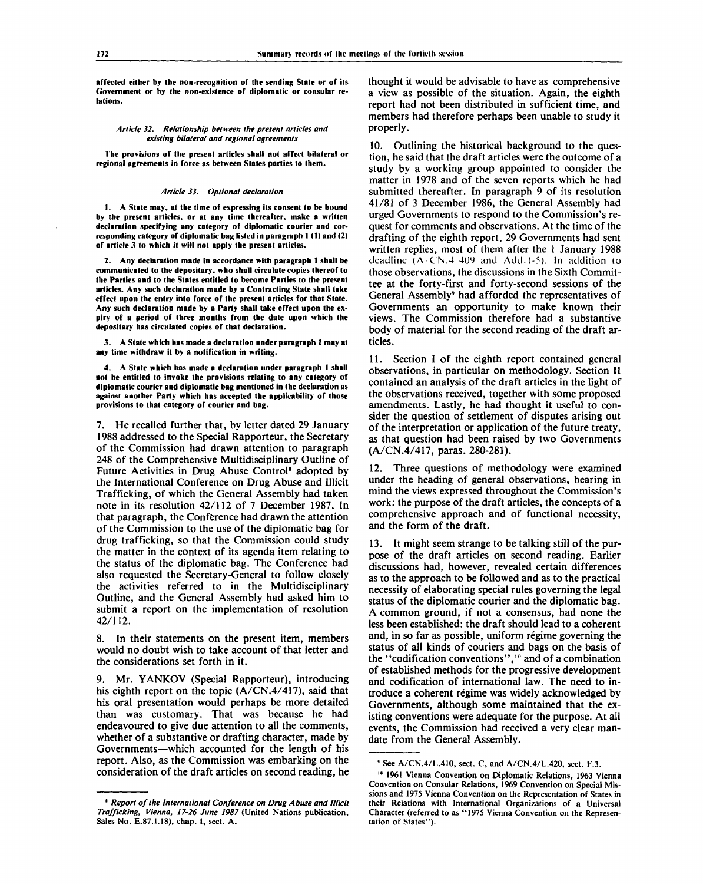**affected either by the non-recognition of the sending State or of its Government or by the non-existence of diplomatic or consular relations.**

### *Article 32. Relationship between the present articles and existing bilateral and regional agreements*

**The provisions of the present articles shall not affect bilateral or regional agreements in force as between States parties to them.**

### *Article 33. Optional declaration*

**1. A State may, at the time of expressing its consent to be bound by the present articles, or at any time thereafter, make a written declaration specifying any category of diplomatic courier and corresponding category of diplomatic bag listed in paragraph 1(1) and (2) of article 3 to which it will not apply the present articles.**

**2. Any declaration made in accordance with paragraph 1 shall be communicated to the depositary, who shall circulate copies thereof to the Parties and to the States entitled to become Parties to the present articles. Any such declaration made by a Contracting State shall take effect upon the entry into force of the present articles for that State. Any such declaration made by a Party shall take effect upon the expiry of a period of three months from the date upon which the depositary has circulated copies of that declaration.**

**3. A State which has made a declaration under paragraph 1 may at any time withdraw it by a notification in writing.**

**4. A State which has made a declaration under paragraph 1 shall not be entitled to invoke the provisions relating to any category of diplomatic courier and diplomatic bag mentioned in the declaration as against another Party which has accepted the applicability of those provisions to that category of courier and bag.**

7. He recalled further that, by letter dated 29 January 1988 addressed to the Special Rapporteur, the Secretary of the Commission had drawn attention to paragraph 248 of the Comprehensive Multidisciplinary Outline of Future Activities in Drug Abuse Control<sup>8</sup> adopted by the International Conference on Drug Abuse and Illicit Trafficking, of which the General Assembly had taken note in its resolution 42/112 of 7 December 1987. In that paragraph, the Conference had drawn the attention of the Commission to the use of the diplomatic bag for drug trafficking, so that the Commission could study the matter in the context of its agenda item relating to the status of the diplomatic bag. The Conference had also requested the Secretary-General to follow closely the activities referred to in the Multidisciplinary Outline, and the General Assembly had asked him to submit a report on the implementation of resolution 42/112.

8. In their statements on the present item, members would no doubt wish to take account of that letter and the considerations set forth in it.

9. Mr. YANKOV (Special Rapporteur), introducing his eighth report on the topic (A/CN.4/417), said that his oral presentation would perhaps be more detailed than was customary. That was because he had endeavoured to give due attention to all the comments, whether of a substantive or drafting character, made by Governments—which accounted for the length of his report. Also, as the Commission was embarking on the consideration of the draft articles on second reading, he thought it would be advisable to have as comprehensive a view as possible of the situation. Again, the eighth report had not been distributed in sufficient time, and members had therefore perhaps been unable to study it properly.

10. Outlining the historical background to the question, he said that the draft articles were the outcome of a study by a working group appointed to consider the matter in 1978 and of the seven reports which he had submitted thereafter. In paragraph 9 of its resolution 41/81 of 3 December 1986, the General Assembly had urged Governments to respond to the Commission's request for comments and observations. At the time of the drafting of the eighth report, 29 Governments had sent written replies, most of them after the 1 January 1988 deadline (A CN.4 40V and Add. *1-5).* In addition to those observations, the discussions in the Sixth Committee at the forty-first and forty-second sessions of the General Assembly<sup>9</sup> had afforded the representatives of Governments an opportunity to make known their views. The Commission therefore had a substantive body of material for the second reading of the draft articles.

11. Section I of the eighth report contained general observations, in particular on methodology. Section II contained an analysis of the draft articles in the light of the observations received, together with some proposed amendments. Lastly, he had thought it useful to consider the question of settlement of disputes arising out of the interpretation or application of the future treaty, as that question had been raised by two Governments (A/CN.4/417, paras. 280-281).

12. Three questions of methodology were examined under the heading of general observations, bearing in mind the views expressed throughout the Commission's work: the purpose of the draft articles, the concepts of a comprehensive approach and of functional necessity, and the form of the draft.

13. It might seem strange to be talking still of the purpose of the draft articles on second reading. Earlier discussions had, however, revealed certain differences as to the approach to be followed and as to the practical necessity of elaborating special rules governing the legal status of the diplomatic courier and the diplomatic bag. A common ground, if not a consensus, had none the less been established: the draft should lead to a coherent and, in so far as possible, uniform régime governing the status of all kinds of couriers and bags on the basis of the "codification conventions",<sup>10</sup> and of a combination of established methods for the progressive development and codification of international law. The need to introduce a coherent regime was widely acknowledged by Governments, although some maintained that the existing conventions were adequate for the purpose. At all events, the Commission had received a very clear mandate from the General Assembly.

**<sup>•</sup>** *Report of the International Conference on Drug Abuse and Illicit Trafficking, Vienna, 17-26 June 1987* **(United Nations publication, Sales No. E.87.I.18), chap. I, sect. A.**

**<sup>&#</sup>x27; See A/CN.4/L.410, sect. C, and A/CN.4/L.420, sect. F.3.**

**<sup>10</sup> 1961 Vienna Convention on Diplomatic Relations, 1963 Vienna Convention on Consular Relations, 1969 Convention on Special Missions and 1975 Vienna Convention on the Representation of States in their Relations with International Organizations of a Universal Character (referred to as "1975 Vienna Convention on the Representation of States").**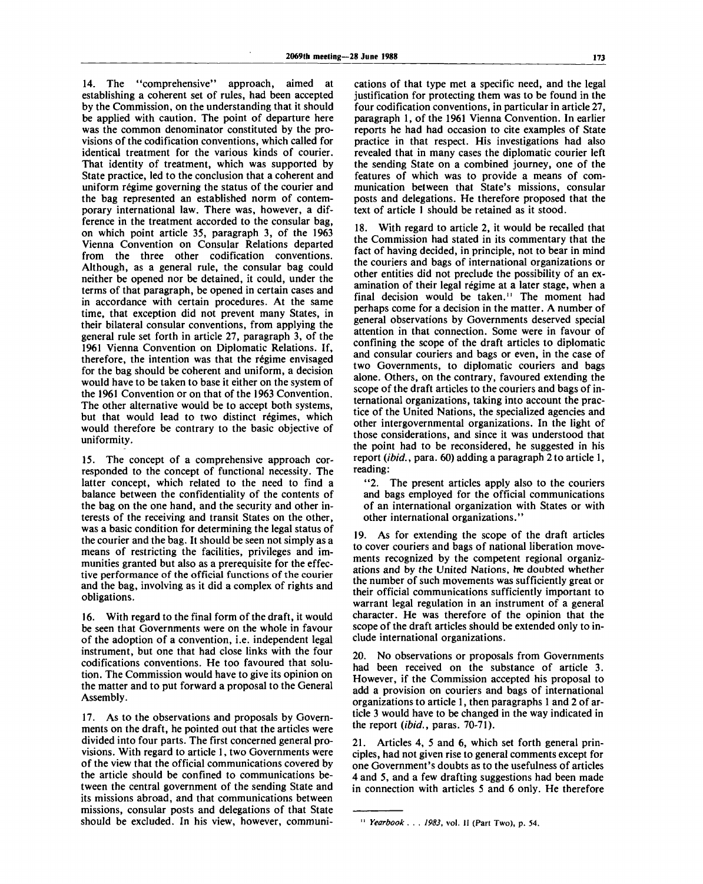14. The "comprehensive" approach, aimed at establishing a coherent set of rules, had been accepted by the Commission, on the understanding that it should be applied with caution. The point of departure here was the common denominator constituted by the provisions of the codification conventions, which called for identical treatment for the various kinds of courier. That identity of treatment, which was supported by State practice, led to the conclusion that a coherent and uniform régime governing the status of the courier and the bag represented an established norm of contemporary international law. There was, however, a difference in the treatment accorded to the consular bag, on which point article 35, paragraph 3, of the 1963 Vienna Convention on Consular Relations departed from the three other codification conventions. Although, as a general rule, the consular bag could neither be opened nor be detained, it could, under the terms of that paragraph, be opened in certain cases and in accordance with certain procedures. At the same time, that exception did not prevent many States, in their bilateral consular conventions, from applying the general rule set forth in article 27, paragraph 3, of the 1961 Vienna Convention on Diplomatic Relations. If, therefore, the intention was that the régime envisaged for the bag should be coherent and uniform, a decision would have to be taken to base it either on the system of the 1961 Convention or on that of the 1963 Convention, The other alternative would be to accept both systems, but that would lead to two distinct régimes, which would therefore be contrary to the basic objective of uniformity.

15. The concept of a comprehensive approach corresponded to the concept of functional necessity. The latter concept, which related to the need to find a balance between the confidentiality of the contents of the bag on the one hand, and the security and other interests of the receiving and transit States on the other, was a basic condition for determining the legal status of the courier and the bag. It should be seen not simply as a means of restricting the facilities, privileges and immunities granted but also as a prerequisite for the effective performance of the official functions of the courier and the bag, involving as it did a complex of rights and obligations.

16. With regard to the final form of the draft, it would be seen that Governments were on the whole in favour of the adoption of a convention, i.e. independent legal instrument, but one that had close links with the four codifications conventions. He too favoured that solution. The Commission would have to give its opinion on the matter and to put forward a proposal to the General Assembly.

17. As to the observations and proposals by Governments on the draft, he pointed out that the articles were divided into four parts. The first concerned general provisions. With regard to article 1, two Governments were of the view that the official communications covered by the article should be confined to communications between the central government of the sending State and its missions abroad, and that communications between missions, consular posts and delegations of that State should be excluded. In his view, however, communi-

cations of that type met a specific need, and the legal justification for protecting them was to be found in the four codification conventions, in particular in article 27, paragraph 1, of the 1961 Vienna Convention. In earlier reports he had had occasion to cite examples of State practice in that respect. His investigations had also revealed that in many cases the diplomatic courier left the sending State on a combined journey, one of the features of which was to provide a means of communication between that State's missions, consular posts and delegations. He therefore proposed that the text of article 1 should be retained as it stood.

18. With regard to article 2, it would be recalled that the Commission had stated in its commentary that the fact of having decided, in principle, not to bear in mind the couriers and bags of international organizations or other entities did not preclude the possibility of an examination of their legal régime at a later stage, when a final decision would be taken." The moment had perhaps come for a decision in the matter. A number of general observations by Governments deserved special attention in that connection. Some were in favour of confining the scope of the draft articles to diplomatic and consular couriers and bags or even, in the case of two Governments, to diplomatic couriers and bags alone. Others, on the contrary, favoured extending the scope of the draft articles to the couriers and bags of international organizations, taking into account the practice of the United Nations, the specialized agencies and other intergovernmental organizations. In the light of those considerations, and since it was understood that the point had to be reconsidered, he suggested in his report *(ibid.,* para. 60) adding a paragraph 2 to article 1, reading:

"2. The present articles apply also to the couriers and bags employed for the official communications of an international organization with States or with other international organizations."

19. As for extending the scope of the draft articles to cover couriers and bags of national liberation movements recognized by the competent regional organizations and by the United Nations, *he* doubted whether the number of such movements was sufficiently great or their official communications sufficiently important to warrant legal regulation in an instrument of a general character. He was therefore of the opinion that the scope of the draft articles should be extended only to include international organizations.

20. No observations or proposals from Governments had been received on the substance of article 3. However, if the Commission accepted his proposal to add a provision on couriers and bags of international organizations to article 1, then paragraphs 1 and 2 of article 3 would have to be changed in the way indicated in the report *(ibid.,* paras. 70-71).

21. Articles 4, 5 and 6, which set forth general principles, had not given rise to general comments except for one Government's doubts as to the usefulness of articles 4 and 5, and a few drafting suggestions had been made in connection with articles 5 and 6 only. He therefore

<sup>11</sup>  *Yearbook . . . 1983,* vol. II (Part Two), p. 54.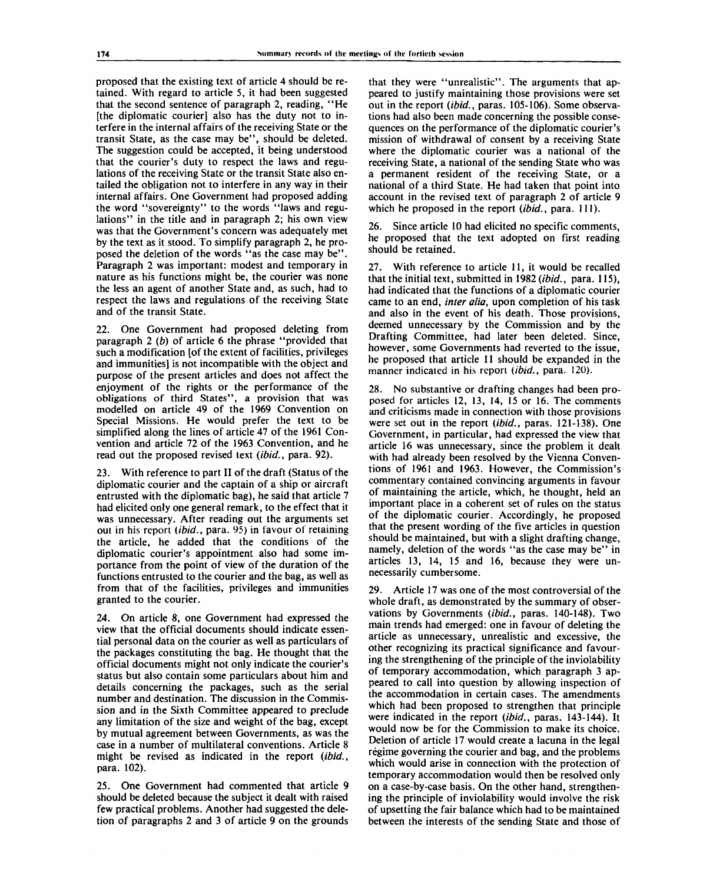proposed that the existing text of article 4 should be retained. With regard to article 5, it had been suggested that the second sentence of paragraph 2, reading, "He [the diplomatic courier] also has the duty not to interfere in the internal affairs of the receiving State or the transit State, as the case may be", should be deleted. The suggestion could be accepted, it being understood that the courier's duty to respect the laws and regulations of the receiving State or the transit State also entailed the obligation not to interfere in any way in their internal affairs. One Government had proposed adding the word "sovereignty" to the words "laws and regulations" in the title and in paragraph 2; his own view was that the Government's concern was adequately met by the text as it stood. To simplify paragraph 2, he proposed the deletion of the words "as the case may be". Paragraph 2 was important: modest and temporary in nature as his functions might be, the courier was none the less an agent of another State and, as such, had to respect the laws and regulations of the receiving State and of the transit State.

One Government had proposed deleting from paragraph 2 *(b)* of article 6 the phrase "provided that such a modification [of the extent of facilities, privileges and immunities] is not incompatible with the object and purpose of the present articles and does not affect the enjoyment of the rights or the performance of the obligations of third States", a provision that was modelled on article 49 of the 1969 Convention on Special Missions. He would prefer the text to be simplified along the lines of article 47 of the 1961 Convention and article 72 of the 1963 Convention, and he read out the proposed revised text *(ibid.,* para. 92).

23. With reference to part II of the draft (Status of the diplomatic courier and the captain of a ship or aircraft entrusted with the diplomatic bag), he said that article 7 had elicited only one general remark, to the effect that it was unnecessary. After reading out the arguments set out in his report *(ibid.,* para. 95) in favour of retaining the article, he added that the conditions of the diplomatic courier's appointment also had some importance from the point of view of the duration of the functions entrusted to the courier and the bag, as well as from that of the facilities, privileges and immunities granted to the courier.

24. On article 8, one Government had expressed the view that the official documents should indicate essential personal data on the courier as well as particulars of the packages constituting the bag. He thought that the official documents might not only indicate the courier's status but also contain some particulars about him and details concerning the packages, such as the serial number and destination. The discussion in the Commission and in the Sixth Committee appeared to preclude any limitation of the size and weight of the bag, except by mutual agreement between Governments, as was the case in a number of multilateral conventions. Article 8 might be revised as indicated in the report *(ibid.,* para. 102).

25. One Government had commented that article 9 should be deleted because the subject it dealt with raised few practical problems. Another had suggested the deletion of paragraphs 2 and 3 of article 9 on the grounds

that they were "unrealistic". The arguments that appeared to justify maintaining those provisions were set out in the report *(ibid.,* paras. 105-106). Some observations had also been made concerning the possible consequences on the performance of the diplomatic courier's mission of withdrawal of consent by a receiving State where the diplomatic courier was a national of the receiving State, a national of the sending State who was a permanent resident of the receiving State, or a national of a third State. He had taken that point into account in the revised text of paragraph 2 of article 9 which he proposed in the report *(ibid.,* para. 111).

26. Since article 10 had elicited no specific comments, he proposed that the text adopted on first reading should be retained.

27. With reference to article 11, it would be recalled that the initial text, submitted in 1982 *(ibid.,* para. 115), had indicated that the functions of a diplomatic courier came to an end, *inter alia,* upon completion of his task and also in the event of his death. Those provisions, deemed unnecessary by the Commission and by the Drafting Committee, had later been deleted. Since, however, some Governments had reverted to the issue, he proposed that article 11 should be expanded in the manner indicated in his report *(ibid.,* para. 120).

28. No substantive or drafting changes had been proposed for articles 12, 13, 14, 15 or 16. The comments and criticisms made in connection with those provisions were set out in the report *(ibid.,* paras. 121-138). One Government, in particular, had expressed the view that article 16 was unnecessary, since the problem it dealt with had already been resolved by the Vienna Conventions of 1961 and 1963. However, the Commission's commentary contained convincing arguments in favour of maintaining the article, which, he thought, held an important place in a coherent set of rules on the status of the diplomatic courier. Accordingly, he proposed that the present wording of the five articles in question should be maintained, but with a slight drafting change, namely, deletion of the words "as the case may be" in articles 13, 14, 15 and 16, because they were unnecessarily cumbersome.

29. Article 17 was one of the most controversial of the whole draft, as demonstrated by the summary of observations by Governments *(ibid.,* paras. 140-148). Two main trends had emerged: one in favour of deleting the article as unnecessary, unrealistic and excessive, the other recognizing its practical significance and favouring the strengthening of the principle of the inviolability of temporary accommodation, which paragraph 3 appeared to call into question by allowing inspection of the accommodation in certain cases. The amendments which had been proposed to strengthen that principle were indicated in the report *(ibid.,* paras. 143-144). It would now be for the Commission to make its choice. Deletion of article 17 would create a lacuna in the legal régime governing the courier and bag, and the problems which would arise in connection with the protection of temporary accommodation would then be resolved only on a case-by-case basis. On the other hand, strengthening the principle of inviolability would involve the risk of upsetting the fair balance which had to be maintained between the interests of the sending State and those of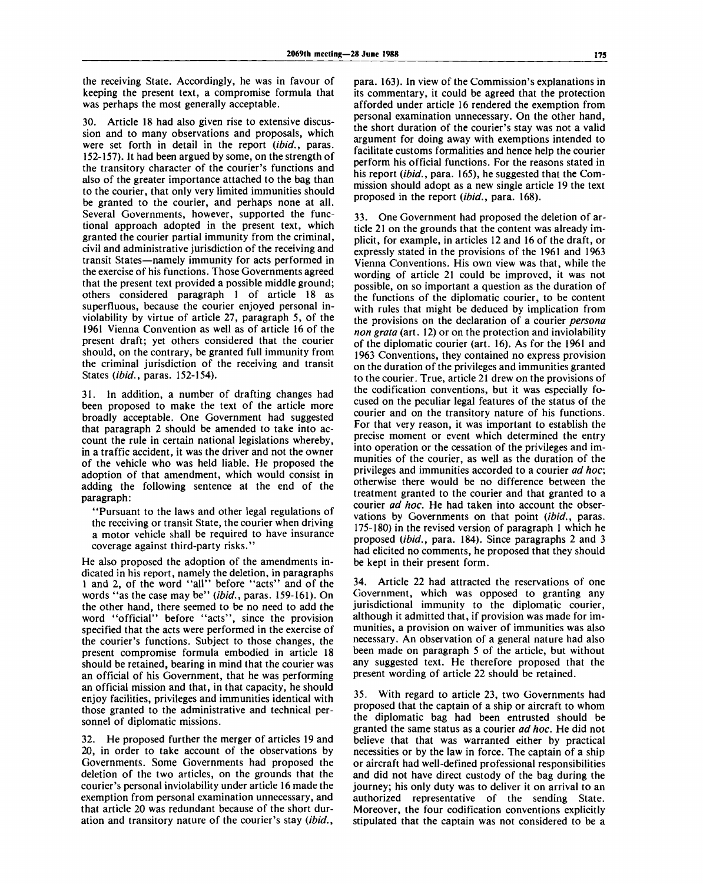the receiving State. Accordingly, he was in favour of keeping the present text, a compromise formula that was perhaps the most generally acceptable.

30. Article 18 had also given rise to extensive discussion and to many observations and proposals, which were set forth in detail in the report *(ibid.,* paras. 152-157). It had been argued by some, on the strength of the transitory character of the courier's functions and also of the greater importance attached to the bag than to the courier, that only very limited immunities should be granted to the courier, and perhaps none at all. Several Governments, however, supported the functional approach adopted in the present text, which granted the courier partial immunity from the criminal, civil and administrative jurisdiction of the receiving and transit States—namely immunity for acts performed in the exercise of his functions. Those Governments agreed that the present text provided a possible middle ground; others considered paragraph 1 of article 18 as superfluous, because the courier enjoyed personal inviolability by virtue of article 27, paragraph 5, of the 1961 Vienna Convention as well as of article 16 of the present draft; yet others considered that the courier should, on the contrary, be granted full immunity from the criminal jurisdiction of the receiving and transit States *(ibid.,* paras. 152-154).

31. In addition, a number of drafting changes had been proposed to make the text of the article more broadly acceptable. One Government had suggested that paragraph 2 should be amended to take into account the rule in certain national legislations whereby, in a traffic accident, it was the driver and not the owner of the vehicle who was held liable. He proposed the adoption of that amendment, which would consist in adding the following sentence at the end of the paragraph:

"Pursuant to the laws and other legal regulations of the receiving or transit State, the courier when driving a motor vehicle shall be required to have insurance coverage against third-party risks."

He also proposed the adoption of the amendments indicated in his report, namely the deletion, in paragraphs 1 and 2, of the word "all" before "acts" and of the words "as the case may be" *(ibid.,* paras. 159-161). On the other hand, there seemed to be no need to add the word "official" before "acts", since the provision specified that the acts were performed in the exercise of the courier's functions. Subject to those changes, the present compromise formula embodied in article 18 should be retained, bearing in mind that the courier was an official of his Government, that he was performing an official mission and that, in that capacity, he should enjoy facilities, privileges and immunities identical with those granted to the administrative and technical personnel of diplomatic missions.

32. He proposed further the merger of articles 19 and 20, in order to take account of the observations by Governments. Some Governments had proposed the deletion of the two articles, on the grounds that the courier's personal inviolability under article 16 made the exemption from personal examination unnecessary, and that article 20 was redundant because of the short duration and transitory nature of the courier's stay *(ibid.,*

para. 163). In view of the Commission's explanations in its commentary, it could be agreed that the protection afforded under article 16 rendered the exemption from personal examination unnecessary. On the other hand, the short duration of the courier's stay was not a valid argument for doing away with exemptions intended to facilitate customs formalities and hence help the courier perform his official functions. For the reasons stated in his report *(ibid.,* para. 165), he suggested that the Commission should adopt as a new single article 19 the text proposed in the report *(ibid.,* para. 168).

33. One Government had proposed the deletion of article 21 on the grounds that the content was already implicit, for example, in articles 12 and 16 of the draft, or expressly stated in the provisions of the 1961 and 1963 Vienna Conventions. His own view was that, while the wording of article 21 could be improved, it was not possible, on so important a question as the duration of the functions of the diplomatic courier, to be content with rules that might be deduced by implication from the provisions on the declaration of a courier *persona non grata* (art. 12) or on the protection and inviolability of the diplomatic courier (art. 16). As for the 1961 and 1963 Conventions, they contained no express provision on the duration of the privileges and immunities granted to the courier. True, article 21 drew on the provisions of the codification conventions, but it was especially focused on the peculiar legal features of the status of the courier and on the transitory nature of his functions. For that very reason, it was important to establish the precise moment or event which determined the entry into operation or the cessation of the privileges and immunities of the courier, as well as the duration of the privileges and immunities accorded to a courier *ad hoc,* otherwise there would be no difference between the treatment granted to the courier and that granted to a courier *ad hoc.* He had taken into account the observations by Governments on that point *(ibid.,* paras. 175-180) in the revised version of paragraph 1 which he proposed *(ibid.,* para. 184). Since paragraphs 2 and 3 had elicited no comments, he proposed that they should be kept in their present form.

34. Article 22 had attracted the reservations of one Government, which was opposed to granting any jurisdictional immunity to the diplomatic courier, although it admitted that, if provision was made for immunities, a provision on waiver of immunities was also necessary. An observation of a general nature had also been made on paragraph 5 of the article, but without any suggested text. He therefore proposed that the present wording of article 22 should be retained.

35. With regard to article 23, two Governments had proposed that the captain of a ship or aircraft to whom the diplomatic bag had been entrusted should be granted the same status as a courier *ad hoc.* He did not believe that that was warranted either by practical necessities or by the law in force. The captain of a ship or aircraft had well-defined professional responsibilities and did not have direct custody of the bag during the journey; his only duty was to deliver it on arrival to an authorized representative of the sending State. Moreover, the four codification conventions explicitly stipulated that the captain was not considered to be a